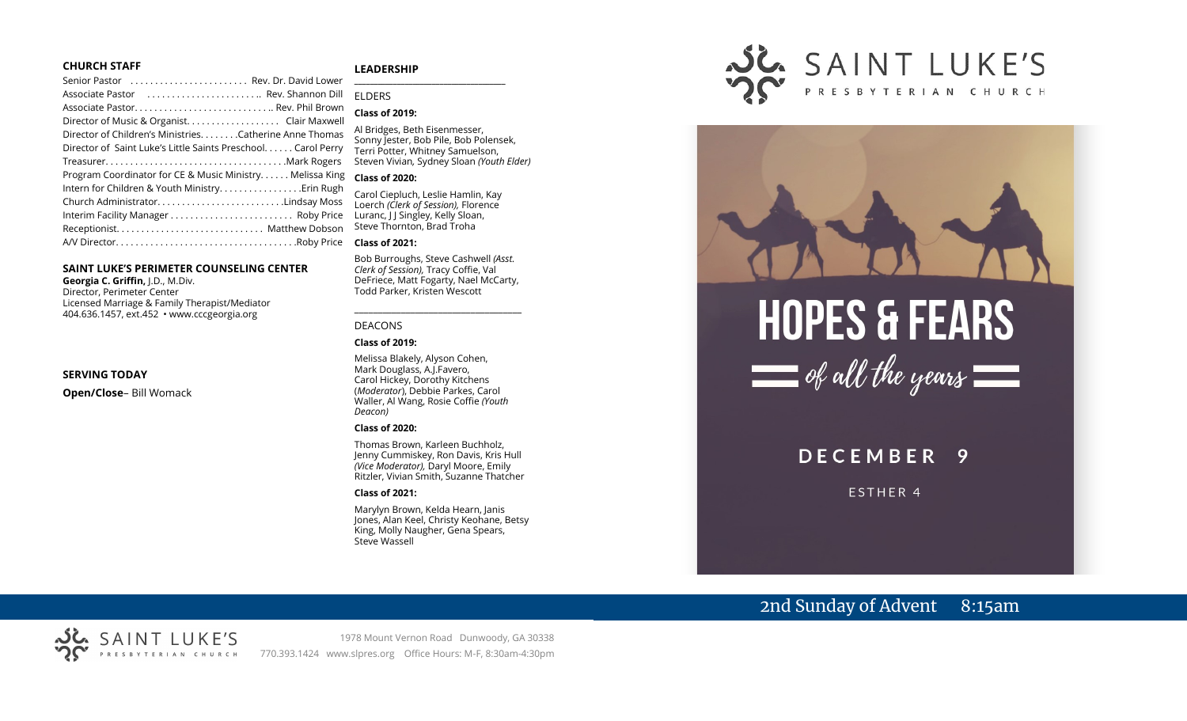#### **CHURCH STAFF**

#### **LEADERSHIP**

| Senior Pastor (all contacts) contacts contacts are sensing contacts and contact Lower |  |
|---------------------------------------------------------------------------------------|--|
| Associate Pastor  Rev. Shannon Dill                                                   |  |
|                                                                                       |  |
|                                                                                       |  |
| Director of Children's MinistriesCatherine Anne Thomas                                |  |
| Director of Saint Luke's Little Saints Preschool. Carol Perry                         |  |
|                                                                                       |  |
| Program Coordinator for CE & Music Ministry Melissa King                              |  |
|                                                                                       |  |
| Church AdministratorLindsay Moss                                                      |  |
| Interim Facility Manager  Roby Price                                                  |  |
|                                                                                       |  |
|                                                                                       |  |
|                                                                                       |  |

#### **SAINT LUKE'S PERIMETER COUNSELING CENTER**

**Georgia C. Griffin,** J.D., M.Div. Director, Perimeter Center Licensed Marriage & Family Therapist/Mediator 404.636.1457, ext.452 • www.cccgeorgia.org

#### **SERVING TODAY**

**Open/Close**– Bill Womack

#### **\_\_\_\_\_\_\_\_\_\_\_\_\_\_\_\_\_\_\_\_\_\_\_\_\_\_\_\_\_\_\_\_\_\_\_\_\_\_\_** ELDERS

#### **Class of 2019:**

Al Bridges, Beth Eisenmesser, Sonny Jester, Bob Pile, Bob Polensek, Terri Potter, Whitney Samuelson, Steven Vivian*,* Sydney Sloan *(Youth Elder)*

#### **Class of 2020:**

Carol Ciepluch, Leslie Hamlin, Kay Loerch *(Clerk of Session),* Florence Luranc, J J Singley, Kelly Sloan, Steve Thornton, Brad Troha

#### **Class of 2021:**

Bob Burroughs, Steve Cashwell *(Asst. Clerk of Session),* Tracy Coffie, Val DeFriece, Matt Fogarty, Nael McCarty, Todd Parker, Kristen Wescott

\_\_\_\_\_\_\_\_\_\_\_\_\_\_\_\_\_\_\_\_\_\_\_\_\_\_\_\_\_\_\_\_\_\_\_\_

#### DEACONS

#### **Class of 2019:**

Melissa Blakely, Alyson Cohen, Mark Douglass, A.J.Favero, Carol Hickey, Dorothy Kitchens (*Moderator*), Debbie Parkes, Carol Waller, Al Wang, Rosie Coffie *(Youth Deacon)* 

#### **Class of 2020:**

Thomas Brown, Karleen Buchholz, Jenny Cummiskey, Ron Davis, Kris Hull *(Vice Moderator),* Daryl Moore, Emily Ritzler, Vivian Smith, Suzanne Thatcher

#### **Class of 2021:**

Marylyn Brown, Kelda Hearn, Janis Jones, Alan Keel, Christy Keohane, Betsy King, Molly Naugher, Gena Spears, Steve Wassell







#### **DECEMBER** 9

ESTHER 4

# 2nd Sunday of Advent 8:15am

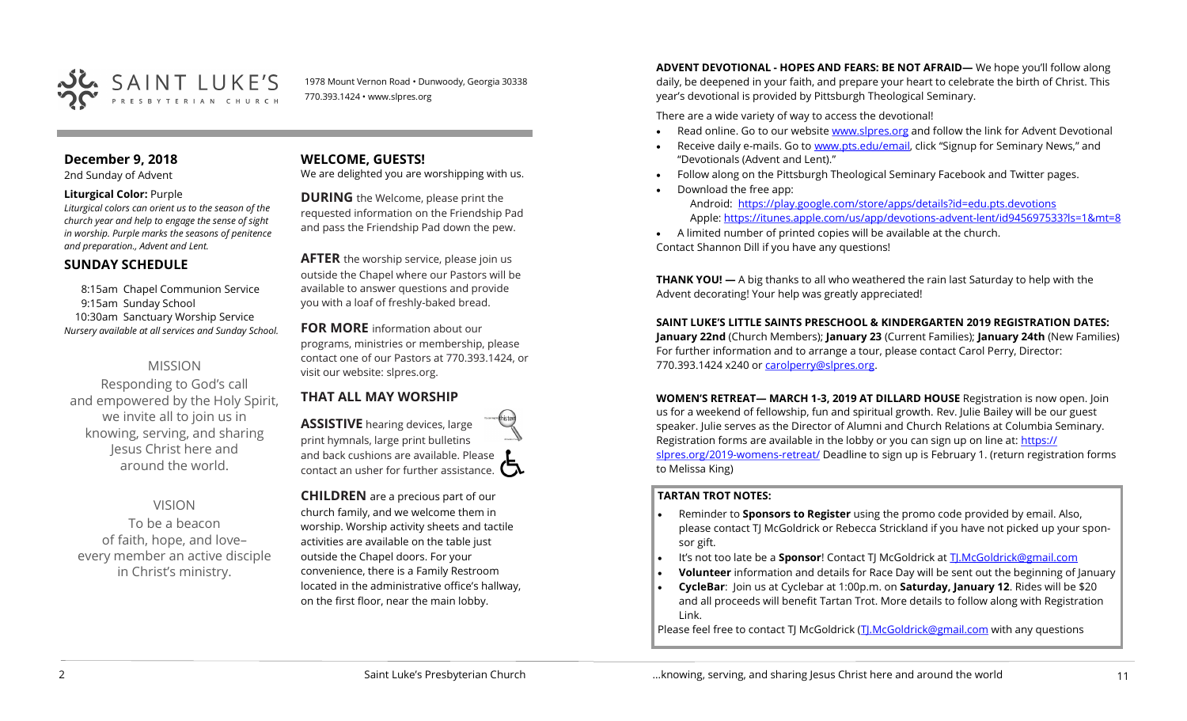

1978 Mount Vernon Road • Dunwoody, Georgia 30338 770.393.1424 • www.slpres.org

# **December 9, 2018**

2nd Sunday of Advent

#### **Liturgical Color:** Purple

*Liturgical colors can orient us to the season of the church year and help to engage the sense of sight in worship. Purple marks the seasons of penitence and preparation., Advent and Lent.* 

# **SUNDAY SCHEDULE**

8:15am Chapel Communion Service 9:15am Sunday School 10:30am Sanctuary Worship Service *Nursery available at all services and Sunday School.* 

# MISSION

Responding to God's call and empowered by the Holy Spirit, we invite all to join us in knowing, serving, and sharing Jesus Christ here and around the world.

# VISION

To be a beacon of faith, hope, and love– every member an active disciple in Christ's ministry.

# **WELCOME, GUESTS!**

We are delighted you are worshipping with us.

**DURING** the Welcome, please print the requested information on the Friendship Pad and pass the Friendship Pad down the pew.

**AFTER** the worship service, please join us outside the Chapel where our Pastors will be available to answer questions and provide you with a loaf of freshly-baked bread.

# **FOR MORE** information about our

programs, ministries or membership, please contact one of our Pastors at 770.393.1424, or visit our website: slpres.org.

# **THAT ALL MAY WORSHIP**

**ASSISTIVE** hearing devices, large print hymnals, large print bulletins and back cushions are available. Please contact an usher for further assistance.  $\Box$ 

**CHILDREN** are a precious part of our church family, and we welcome them in worship. Worship activity sheets and tactile activities are available on the table just outside the Chapel doors. For your convenience, there is a Family Restroom located in the administrative office's hallway, on the first floor, near the main lobby.

**ADVENT DEVOTIONAL - HOPES AND FEARS: BE NOT AFRAID—** We hope you'll follow along daily, be deepened in your faith, and prepare your heart to celebrate the birth of Christ. This year's devotional is provided by Pittsburgh Theological Seminary.

There are a wide variety of way to access the devotional!

- Read online. Go to our website [www.slpres.org](http://www.slpres.org) and follow the link for Advent Devotional
- Receive daily e-mails. Go to [www.pts.edu/email,](http://www.pts.edu/email) click "Signup for Seminary News," and "Devotionals (Advent and Lent)."
- Follow along on the Pittsburgh Theological Seminary Facebook and Twitter pages.
	- Download the free app: Android: <https://play.google.com/store/apps/details?id=edu.pts.devotions> Apple: [https://itunes.apple.com/us/app/devotions](https://itunes.apple.com/us/app/devotions-advent-lent/id945697533?ls=1&mt=8)-advent-lent/id945697533?ls=1&mt=8
- A limited number of printed copies will be available at the church. Contact Shannon Dill if you have any questions!

**THANK YOU! —** A big thanks to all who weathered the rain last Saturday to help with the Advent decorating! Your help was greatly appreciated!

# **SAINT LUKE'S LITTLE SAINTS PRESCHOOL & KINDERGARTEN 2019 REGISTRATION DATES:**

**January 22nd** (Church Members); **January 23** (Current Families); **January 24th** (New Families) For further information and to arrange a tour, please contact Carol Perry, Director: 770.393.1424 x240 or [carolperry@slpres.org.](mailto:carolperry@slpres.org)

**WOMEN'S RETREAT— MARCH 1-3, 2019 AT DILLARD HOUSE** Registration is now open. Join us for a weekend of fellowship, fun and spiritual growth. Rev. Julie Bailey will be our guest speaker. Julie serves as the Director of Alumni and Church Relations at Columbia Seminary. Registration forms are available in the lobby or you can sign up on line at: [https://](https://slpres.org/2019-womens-retreat/) [slpres.org/2019](https://slpres.org/2019-womens-retreat/)-womens-retreat/ Deadline to sign up is February 1. (return registration forms to Melissa King)

### **TARTAN TROT NOTES:**

- Reminder to **Sponsors to Register** using the promo code provided by email. Also, please contact TJ McGoldrick or Rebecca Strickland if you have not picked up your sponsor gift.
- It's not too late be a **Sponsor**! Contact TJ McGoldrick at [TJ.McGoldrick@gmail.com](mailto:TJ.McGoldrick@gmail.com)
- **Volunteer** information and details for Race Day will be sent out the beginning of January
- **CycleBar**: Join us at Cyclebar at 1:00p.m. on **Saturday, January 12**. Rides will be \$20 and all proceeds will benefit Tartan Trot. More details to follow along with Registration Link.

Please feel free to contact TJ McGoldrick ([TJ.McGoldrick@gmail.com](mailto:TJ.McGoldrick@gmail.com) with any questions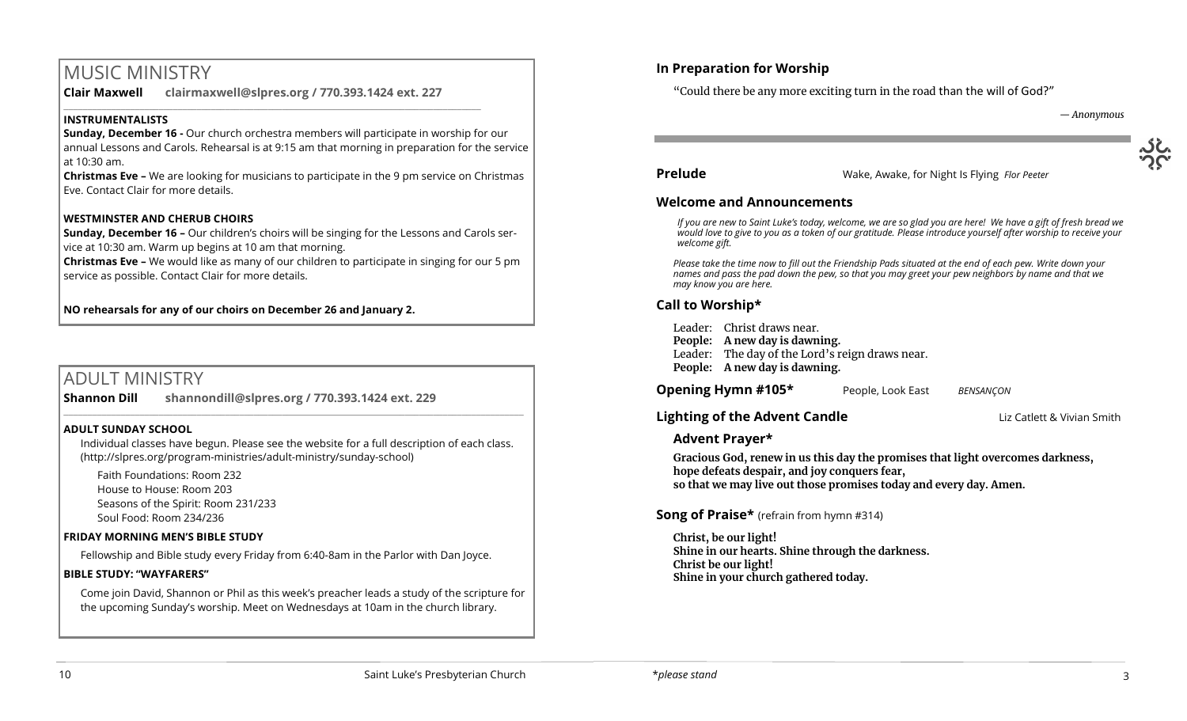# MUSIC MINISTRY

**Clair Maxwell clairmaxwell@slpres.org / 770.393.1424 ext. 227** 

\_\_\_\_\_\_\_\_\_\_\_\_\_\_\_\_\_\_\_\_\_\_\_\_\_\_\_\_\_\_\_\_\_\_\_\_\_\_\_\_\_\_\_\_\_\_\_\_\_\_\_\_\_\_\_\_\_\_\_\_\_\_\_\_\_\_\_\_\_\_\_\_\_\_\_\_\_\_\_\_\_\_\_\_\_\_\_\_

# **INSTRUMENTALISTS**

**Sunday, December 16 -** Our church orchestra members will participate in worship for our annual Lessons and Carols. Rehearsal is at 9:15 am that morning in preparation for the service at 10:30 am.

**Christmas Eve –** We are looking for musicians to participate in the 9 pm service on Christmas Eve. Contact Clair for more details.

# **WESTMINSTER AND CHERUB CHOIRS**

**Sunday, December 16 –** Our children's choirs will be singing for the Lessons and Carols service at 10:30 am. Warm up begins at 10 am that morning.

**Christmas Eve –** We would like as many of our children to participate in singing for our 5 pm service as possible. Contact Clair for more details.

**NO rehearsals for any of our choirs on December 26 and January 2.**

# ADULT MINISTRY

**Shannon Dill shannondill@slpres.org / 770.393.1424 ext. 229**   $\_$  ,  $\_$  ,  $\_$  ,  $\_$  ,  $\_$  ,  $\_$  ,  $\_$  ,  $\_$  ,  $\_$  ,  $\_$  ,  $\_$  ,  $\_$  ,  $\_$  ,  $\_$  ,  $\_$  ,  $\_$  ,  $\_$  ,  $\_$  ,  $\_$ 

### **ADULT SUNDAY SCHOOL**

Individual classes have begun. Please see the website for a full description of each class. (http://slpres.org/program-ministries/adult-ministry/sunday-school)

Faith Foundations: Room 232 House to House: Room 203 Seasons of the Spirit: Room 231/233 Soul Food: Room 234/236

### **FRIDAY MORNING MEN'S BIBLE STUDY**

Fellowship and Bible study every Friday from 6:40-8am in the Parlor with Dan Joyce.

### **BIBLE STUDY: "WAYFARERS"**

Come join David, Shannon or Phil as this week's preacher leads a study of the scripture for the upcoming Sunday's worship. Meet on Wednesdays at 10am in the church library.

# **In Preparation for Worship**

"Could there be any more exciting turn in the road than the will of God?"

*— Anonymous*

#### **Prelude** Wake, Awake, for Night Is Flying *Flor Peeter*

### **Welcome and Announcements**

*If you are new to Saint Luke's today, welcome, we are so glad you are here! We have a gift of fresh bread we would love to give to you as a token of our gratitude. Please introduce yourself after worship to receive your welcome gift.*

*Please take the time now to fill out the Friendship Pads situated at the end of each pew. Write down your names and pass the pad down the pew, so that you may greet your pew neighbors by name and that we may know you are here.*

# **Call to Worship\***

Leader: Christ draws near. **People: A new day is dawning.** Leader: The day of the Lord's reign draws near. **People: A new day is dawning.**

**Opening Hymn #105\*** People, Look East*BENSANÇON*

# **Lighting of the Advent Candle Lighting of the Advent Candle Liz Catlett & Vivian Smith**

# **Advent Prayer\***

**Gracious God, renew in us this day the promises that light overcomes darkness, hope defeats despair, and joy conquers fear, so that we may live out those promises today and every day. Amen.** 

# **Song of Praise\*** (refrain from hymn #314)

**Christ, be our light! Shine in our hearts. Shine through the darkness. Christ be our light! Shine in your church gathered today.**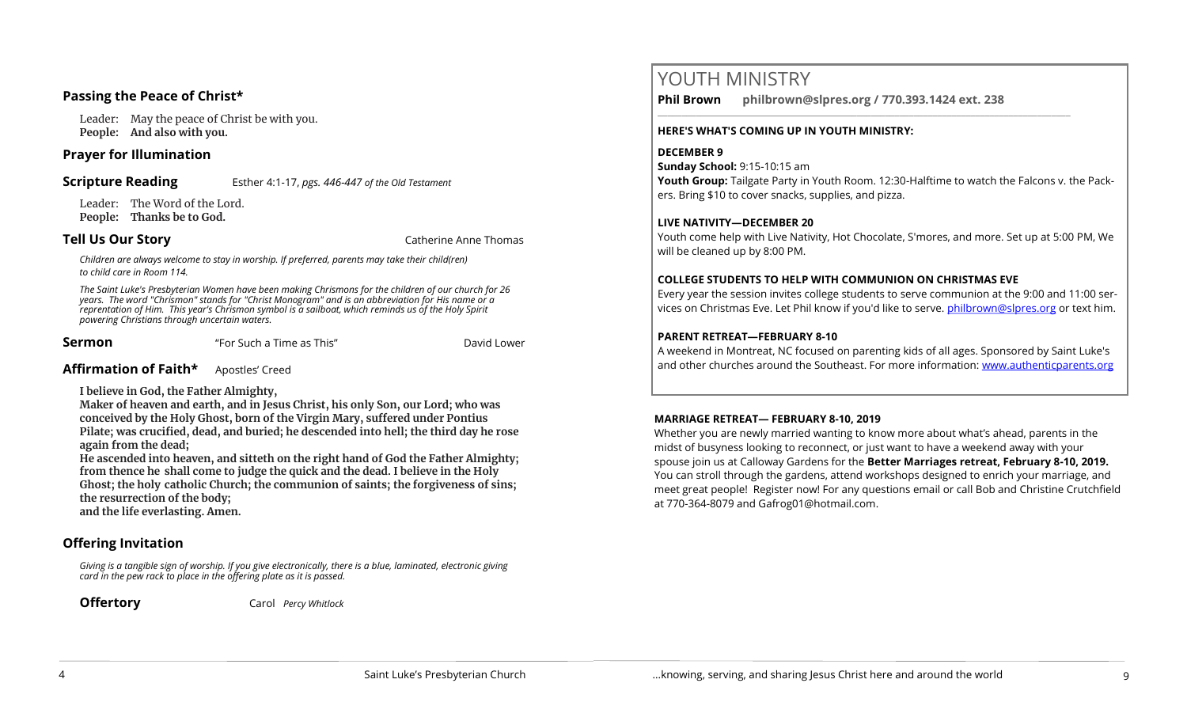# **Passing the Peace of Christ\***

Leader: May the peace of Christ be with you. **People: And also with you.** 

## **Prayer for Illumination**

**Scripture Reading** Esther 4:1-17, *pgs. 446-447 of the Old Testament*

Leader: The Word of the Lord. **People: Thanks be to God.** 

**Tell Us Our Story** Catherine Anne Thomas

*Children are always welcome to stay in worship. If preferred, parents may take their child(ren) to child care in Room 114.*

*The Saint Luke's Presbyterian Women have been making Chrismons for the children of our church for 26 years. The word "Chrismon" stands for "Christ Monogram" and is an abbreviation for His name or a reprentation of Him. This year's Chrismon symbol is a sailboat, which reminds us of the Holy Spirit powering Christians through uncertain waters.* 

**Sermon** The Such a Time as This" **Example 2** David Lower

# **Affirmation of Faith\*** Apostles' Creed

**I believe in God, the Father Almighty,**

**Maker of heaven and earth, and in Jesus Christ, his only Son, our Lord; who was conceived by the Holy Ghost, born of the Virgin Mary, suffered under Pontius Pilate; was crucified, dead, and buried; he descended into hell; the third day he rose again from the dead;**

**He ascended into heaven, and sitteth on the right hand of God the Father Almighty; from thence he shall come to judge the quick and the dead. I believe in the Holy Ghost; the holy catholic Church; the communion of saints; the forgiveness of sins; the resurrection of the body;** 

**and the life everlasting. Amen.**

# **Offering Invitation**

*Giving is a tangible sign of worship. If you give electronically, there is a blue, laminated, electronic giving card in the pew rack to place in the offering plate as it is passed.*

**Offertory** Carol *Percy Whitlock*

# YOUTH MINISTRY

**Phil Brown philbrown@slpres.org / 770.393.1424 ext. 238**  \_\_\_\_\_\_\_\_\_\_\_\_\_\_\_\_\_\_\_\_\_\_\_\_\_\_\_\_\_\_\_\_\_\_\_\_\_\_\_\_\_\_\_\_\_\_\_\_\_\_\_\_\_\_\_\_\_\_\_\_\_\_\_\_\_\_\_\_\_\_\_\_\_\_\_\_\_\_\_\_\_\_\_\_\_\_\_

### **HERE'S WHAT'S COMING UP IN YOUTH MINISTRY:**

## **DECEMBER 9**

**Sunday School:** 9:15-10:15 am **Youth Group:** Tailgate Party in Youth Room. 12:30-Halftime to watch the Falcons v. the Packers. Bring \$10 to cover snacks, supplies, and pizza.

# **LIVE NATIVITY—DECEMBER 20**

Youth come help with Live Nativity, Hot Chocolate, S'mores, and more. Set up at 5:00 PM, We will be cleaned up by 8:00 PM.

## **COLLEGE STUDENTS TO HELP WITH COMMUNION ON CHRISTMAS EVE**

Every year the session invites college students to serve communion at the 9:00 and 11:00 services on Christmas Eve. Let Phil know if you'd like to serve. [philbrown@slpres.org](mailto:philbrown@slpres.org) or text him.

## **PARENT RETREAT—FEBRUARY 8-10**

A weekend in Montreat, NC focused on parenting kids of all ages. Sponsored by Saint Luke's and other churches around the Southeast. For more information: [www.authenticparents.org](http://www.authenticparents.org)

# **MARRIAGE RETREAT— FEBRUARY 8-10, 2019**

Whether you are newly married wanting to know more about what's ahead, parents in the midst of busyness looking to reconnect, or just want to have a weekend away with your spouse join us at Calloway Gardens for the **Better Marriages retreat, February 8-10, 2019.**  You can stroll through the gardens, attend workshops designed to enrich your marriage, and meet great people! Register now! For any questions email or call Bob and Christine Crutchfield at 770-364-8079 and [Gafrog01@hotmail.com.](mailto:Gafrog01@hotmail.com)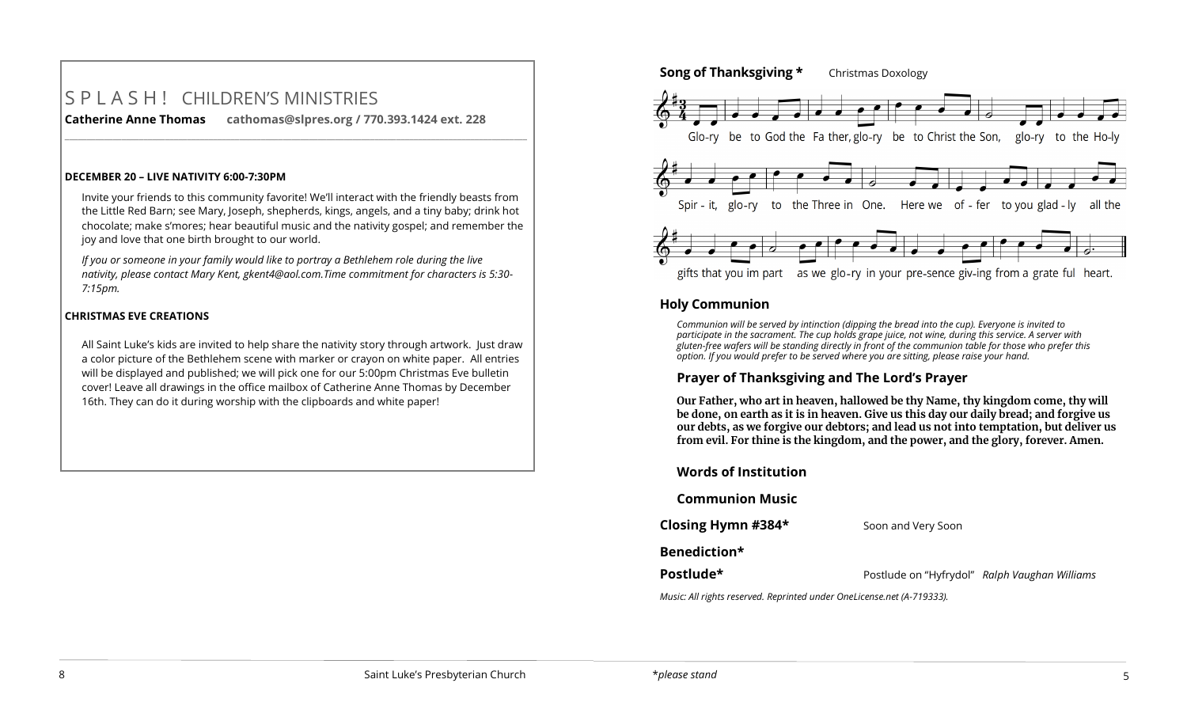# S P L A S H ! CHILDREN'S MINISTRIES **Catherine Anne Thomas cathomas@slpres.org / 770.393.1424 ext. 228**

**DECEMBER 20 – LIVE NATIVITY 6:00-7:30PM**

Invite your friends to this community favorite! We'll interact with the friendly beasts from the Little Red Barn; see Mary, Joseph, shepherds, kings, angels, and a tiny baby; drink hot chocolate; make s'mores; hear beautiful music and the nativity gospel; and remember the joy and love that one birth brought to our world.

**\_\_\_\_\_\_\_\_\_\_\_\_\_\_\_\_\_\_\_\_\_\_\_\_\_\_\_\_\_\_\_\_\_\_\_\_\_\_\_\_\_\_\_\_\_\_\_\_\_\_\_\_\_\_\_\_\_\_\_\_\_\_\_\_\_\_\_\_\_\_\_\_\_\_\_\_\_\_\_\_\_\_\_\_\_\_\_\_\_\_\_\_\_\_\_\_\_\_\_\_\_\_\_\_\_\_** 

*If you or someone in your family would like to portray a Bethlehem role during the live nativity, please contact Mary Kent, [gkent4@aol.com.T](mailto:gkent4@aol.com)ime commitment for characters is 5:30- 7:15pm.*

# **CHRISTMAS EVE CREATIONS**

All Saint Luke's kids are invited to help share the nativity story through artwork. Just draw a color picture of the Bethlehem scene with marker or crayon on white paper. All entries will be displayed and published; we will pick one for our 5:00pm Christmas Eve bulletin cover! Leave all drawings in the office mailbox of Catherine Anne Thomas by December 16th. They can do it during worship with the clipboards and white paper!



# **Holy Communion**

*Communion will be served by intinction (dipping the bread into the cup). Everyone is invited to participate in the sacrament. The cup holds grape juice, not wine, during this service. A server with gluten-free wafers will be standing directly in front of the communion table for those who prefer this option. If you would prefer to be served where you are sitting, please raise your hand.*

# **Prayer of Thanksgiving and The Lord's Prayer**

**Our Father, who art in heaven, hallowed be thy Name, thy kingdom come, thy will be done, on earth as it is in heaven. Give us this day our daily bread; and forgive us our debts, as we forgive our debtors; and lead us not into temptation, but deliver us from evil. For thine is the kingdom, and the power, and the glory, forever. Amen.**

| <b>Words of Institution</b> |                                               |
|-----------------------------|-----------------------------------------------|
| <b>Communion Music</b>      |                                               |
| Closing Hymn #384*          | Soon and Very Soon                            |
| Benediction*                |                                               |
| Postlude*                   | Postlude on "Hyfrydol" Ralph Vaughan Williams |
|                             |                                               |

*Music: All rights reserved. Reprinted under OneLicense.net (A-719333).*